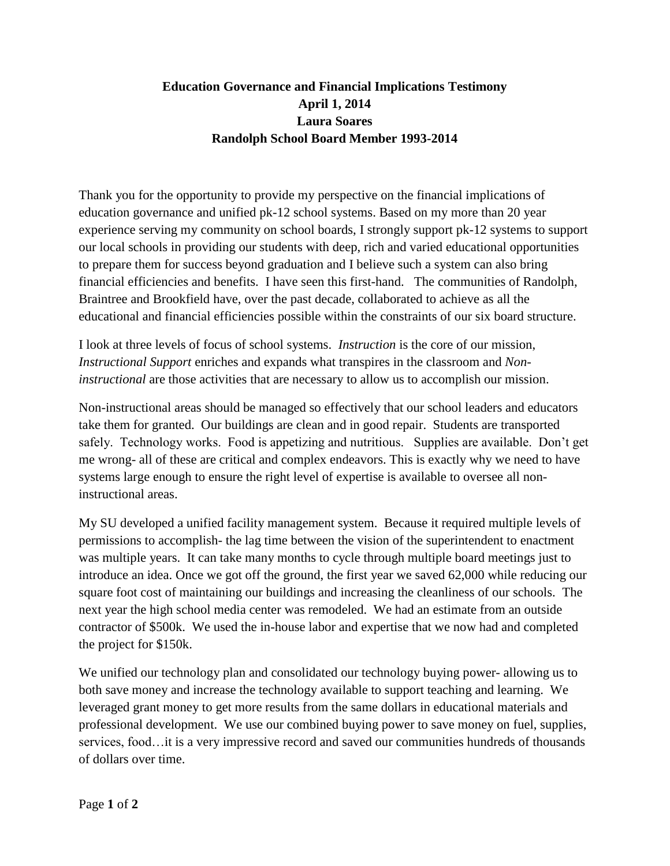## **Education Governance and Financial Implications Testimony April 1, 2014 Laura Soares Randolph School Board Member 1993-2014**

Thank you for the opportunity to provide my perspective on the financial implications of education governance and unified pk-12 school systems. Based on my more than 20 year experience serving my community on school boards, I strongly support pk-12 systems to support our local schools in providing our students with deep, rich and varied educational opportunities to prepare them for success beyond graduation and I believe such a system can also bring financial efficiencies and benefits. I have seen this first-hand. The communities of Randolph, Braintree and Brookfield have, over the past decade, collaborated to achieve as all the educational and financial efficiencies possible within the constraints of our six board structure.

I look at three levels of focus of school systems. *Instruction* is the core of our mission, *Instructional Support* enriches and expands what transpires in the classroom and *Noninstructional* are those activities that are necessary to allow us to accomplish our mission.

Non-instructional areas should be managed so effectively that our school leaders and educators take them for granted. Our buildings are clean and in good repair. Students are transported safely. Technology works. Food is appetizing and nutritious. Supplies are available. Don't get me wrong- all of these are critical and complex endeavors. This is exactly why we need to have systems large enough to ensure the right level of expertise is available to oversee all noninstructional areas.

My SU developed a unified facility management system. Because it required multiple levels of permissions to accomplish- the lag time between the vision of the superintendent to enactment was multiple years. It can take many months to cycle through multiple board meetings just to introduce an idea. Once we got off the ground, the first year we saved 62,000 while reducing our square foot cost of maintaining our buildings and increasing the cleanliness of our schools. The next year the high school media center was remodeled. We had an estimate from an outside contractor of \$500k. We used the in-house labor and expertise that we now had and completed the project for \$150k.

We unified our technology plan and consolidated our technology buying power- allowing us to both save money and increase the technology available to support teaching and learning. We leveraged grant money to get more results from the same dollars in educational materials and professional development. We use our combined buying power to save money on fuel, supplies, services, food…it is a very impressive record and saved our communities hundreds of thousands of dollars over time.